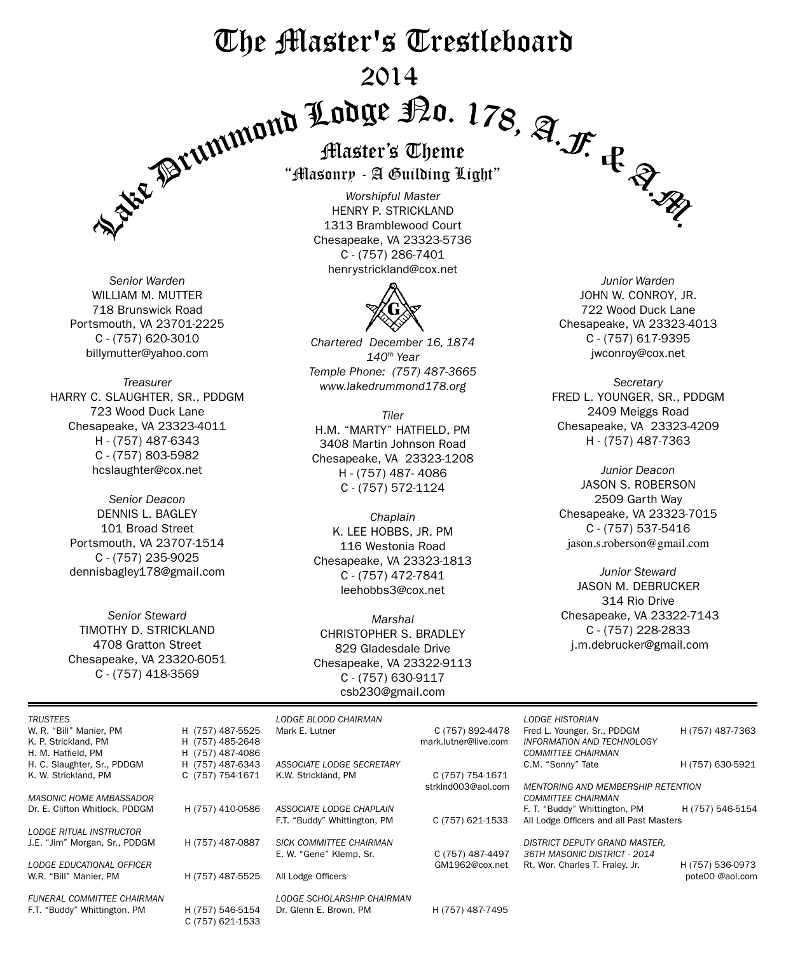# The Master's Trestleboard 2014



*Senior Warden* WILLIAM M. MUTTER 718 Brunswick Road Portsmouth, VA 23701-2225 C - (757) 620-3010 billymutter@yahoo.com

*Treasurer* harry C. slaughter, SR., PDDGM 723 Wood Duck Lane Chesapeake, VA 23323-4011 H - (757) 487-6343 C - (757) 803-5982 hcslaughter@cox.net

*Senior Deacon* DENNIS L. BAGLEY 101 Broad Street Portsmouth, VA 23707-1514 C - (757) 235-9025 dennisbagley178@gmail.com

*Senior Steward* TIMOTHY D. STRICKLAND 4708 Gratton Street Chesapeake, VA 23320-6051 C - (757) 418-3569

C (757) 621-1533

"Masonry - A Guilding Light"

*Worshipful Master* henry p. strickland 1313 Bramblewood Court Chesapeake, VA 23323-5736 C - (757) 286-7401 henrystrickland@cox.net



*Chartered December 16, 1874 140th Year Temple Phone: (757) 487-3665 www.lakedrummond178.org*

*Tiler* h.m. "Marty" hatfield, PM 3408 Martin Johnson Road Chesapeake, VA 23323-1208 H - (757) 487- 4086 C - (757) 572-1124

*Chaplain* K. LEE HOBBS, JR. PM 116 Westonia Road Chesapeake, VA 23323-1813 C - (757) 472-7841 leehobbs3@cox.net

*Marshal* CHRISTOPHER S. BRADLEY 829 Gladesdale Drive Chesapeake, VA 23322-9113 C - (757) 630-9117 csb230@gmail.com

*Junior Warden* JOHN W. CONROY, JR. 722 Wood Duck Lane Chesapeake, VA 23323-4013 C - (757) 617-9395 jwconroy@cox.net

*Secretary* fred l. younger, sr., PDDGM 2409 Meiggs Road Chesapeake, VA 23323-4209 H - (757) 487-7363

*Junior Deacon* Jason S. Roberson 2509 Garth Way Chesapeake, VA 23323-7015 C - (757) 537-5416 jason.s.roberson@gmail.com

*Junior Steward* Jason M. DeBrucker 314 Rio Drive Chesapeake, VA 23322-7143 C - (757) 228-2833 j.m.debrucker@gmail.com

| <b>TRUSTEES</b>                   |                  | LODGE BLOOD CHAIRMAN         |                      | <b>LODGE HISTORIAN</b>                    |                  |
|-----------------------------------|------------------|------------------------------|----------------------|-------------------------------------------|------------------|
| W. R. "Bill" Manier, PM           | H (757) 487-5525 | Mark E. Lutner               | C (757) 892-4478     | Fred L. Younger, Sr., PDDGM               | H (757) 487-7363 |
| K. P. Strickland, PM              | H (757) 485-2648 |                              | mark.lutner@live.com | INFORMATION AND TECHNOLOGY                |                  |
| H. M. Hatfield, PM                | H (757) 487-4086 |                              |                      | <b>COMMITTEE CHAIRMAN</b>                 |                  |
| H. C. Slaughter, Sr., PDDGM       | H (757) 487-6343 | ASSOCIATE LODGE SECRETARY    |                      | C.M. "Sonny" Tate                         | H (757) 630-5921 |
| K. W. Strickland, PM              | C (757) 754-1671 | K.W. Strickland, PM          | C (757) 754-1671     |                                           |                  |
|                                   |                  |                              | strkInd003@aol.com   | <b>MENTORING AND MEMBERSHIP RETENTION</b> |                  |
| <b>MASONIC HOME AMBASSADOR</b>    |                  |                              |                      | <b>COMMITTEE CHAIRMAN</b>                 |                  |
| Dr. E. Clifton Whitlock. PDDGM    | H (757) 410-0586 | ASSOCIATE LODGE CHAPLAIN     |                      | F. T. "Buddy" Whittington, PM             | H (757) 546-5154 |
|                                   |                  | F.T. "Buddy" Whittington, PM | C (757) 621-1533     | All Lodge Officers and all Past Masters   |                  |
| <b>LODGE RITUAL INSTRUCTOR</b>    |                  |                              |                      |                                           |                  |
| J.E. "Jim" Morgan, Sr., PDDGM     | H (757) 487-0887 | SICK COMMITTEE CHAIRMAN      |                      | DISTRICT DEPUTY GRAND MASTER,             |                  |
|                                   |                  | E. W. "Gene" Klemp, Sr.      | C (757) 487-4497     | 36TH MASONIC DISTRICT - 2014              |                  |
| LODGE EDUCATIONAL OFFICER         |                  |                              | GM1962@cox.net       | Rt. Wor. Charles T. Fraley, Jr.           | H (757) 536-0973 |
| W.R. "Bill" Manier, PM            | H (757) 487-5525 | All Lodge Officers           |                      |                                           | pote00 @aol.com  |
|                                   |                  |                              |                      |                                           |                  |
| <b>FUNERAL COMMITTEE CHAIRMAN</b> |                  | LODGE SCHOLARSHIP CHAIRMAN   |                      |                                           |                  |
| F.T. "Buddy" Whittington, PM      | H (757) 546-5154 | Dr. Glenn E. Brown. PM       | H (757) 487-7495     |                                           |                  |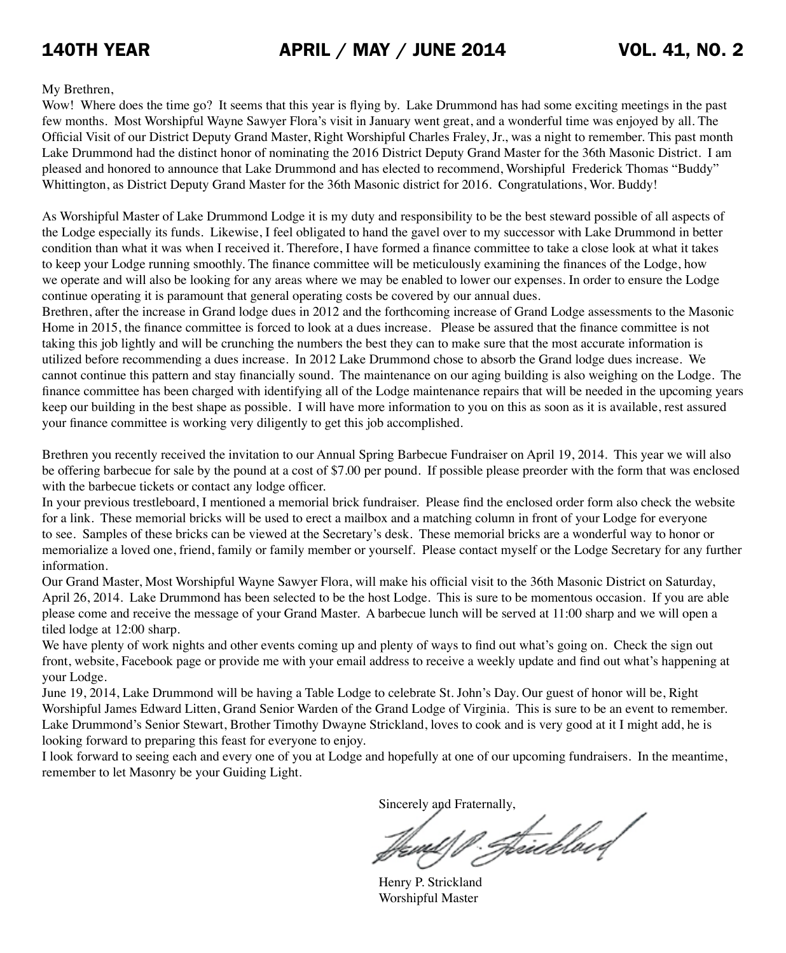#### My Brethren,

Wow! Where does the time go? It seems that this year is flying by. Lake Drummond has had some exciting meetings in the past few months. Most Worshipful Wayne Sawyer Flora's visit in January went great, and a wonderful time was enjoyed by all. The Official Visit of our District Deputy Grand Master, Right Worshipful Charles Fraley, Jr., was a night to remember. This past month Lake Drummond had the distinct honor of nominating the 2016 District Deputy Grand Master for the 36th Masonic District. I am pleased and honored to announce that Lake Drummond and has elected to recommend, Worshipful Frederick Thomas "Buddy" Whittington, as District Deputy Grand Master for the 36th Masonic district for 2016. Congratulations, Wor. Buddy!

As Worshipful Master of Lake Drummond Lodge it is my duty and responsibility to be the best steward possible of all aspects of the Lodge especially its funds. Likewise, I feel obligated to hand the gavel over to my successor with Lake Drummond in better condition than what it was when I received it. Therefore, I have formed a finance committee to take a close look at what it takes to keep your Lodge running smoothly. The finance committee will be meticulously examining the finances of the Lodge, how we operate and will also be looking for any areas where we may be enabled to lower our expenses. In order to ensure the Lodge continue operating it is paramount that general operating costs be covered by our annual dues.

Brethren, after the increase in Grand lodge dues in 2012 and the forthcoming increase of Grand Lodge assessments to the Masonic Home in 2015, the finance committee is forced to look at a dues increase. Please be assured that the finance committee is not taking this job lightly and will be crunching the numbers the best they can to make sure that the most accurate information is utilized before recommending a dues increase. In 2012 Lake Drummond chose to absorb the Grand lodge dues increase. We cannot continue this pattern and stay financially sound. The maintenance on our aging building is also weighing on the Lodge. The finance committee has been charged with identifying all of the Lodge maintenance repairs that will be needed in the upcoming years keep our building in the best shape as possible. I will have more information to you on this as soon as it is available, rest assured your finance committee is working very diligently to get this job accomplished.

Brethren you recently received the invitation to our Annual Spring Barbecue Fundraiser on April 19, 2014. This year we will also be offering barbecue for sale by the pound at a cost of \$7.00 per pound. If possible please preorder with the form that was enclosed with the barbecue tickets or contact any lodge officer.

In your previous trestleboard, I mentioned a memorial brick fundraiser. Please find the enclosed order form also check the website for a link. These memorial bricks will be used to erect a mailbox and a matching column in front of your Lodge for everyone to see. Samples of these bricks can be viewed at the Secretary's desk. These memorial bricks are a wonderful way to honor or memorialize a loved one, friend, family or family member or yourself. Please contact myself or the Lodge Secretary for any further information.

Our Grand Master, Most Worshipful Wayne Sawyer Flora, will make his official visit to the 36th Masonic District on Saturday, April 26, 2014. Lake Drummond has been selected to be the host Lodge. This is sure to be momentous occasion. If you are able please come and receive the message of your Grand Master. A barbecue lunch will be served at 11:00 sharp and we will open a tiled lodge at 12:00 sharp.

We have plenty of work nights and other events coming up and plenty of ways to find out what's going on. Check the sign out front, website, Facebook page or provide me with your email address to receive a weekly update and find out what's happening at your Lodge.

June 19, 2014, Lake Drummond will be having a Table Lodge to celebrate St. John's Day. Our guest of honor will be, Right Worshipful James Edward Litten, Grand Senior Warden of the Grand Lodge of Virginia. This is sure to be an event to remember. Lake Drummond's Senior Stewart, Brother Timothy Dwayne Strickland, loves to cook and is very good at it I might add, he is looking forward to preparing this feast for everyone to enjoy.

I look forward to seeing each and every one of you at Lodge and hopefully at one of our upcoming fundraisers. In the meantime, remember to let Masonry be your Guiding Light.

Sincerely and Fraternally,

Jewil P. Jeicellord

Henry P. Strickland Worshipful Master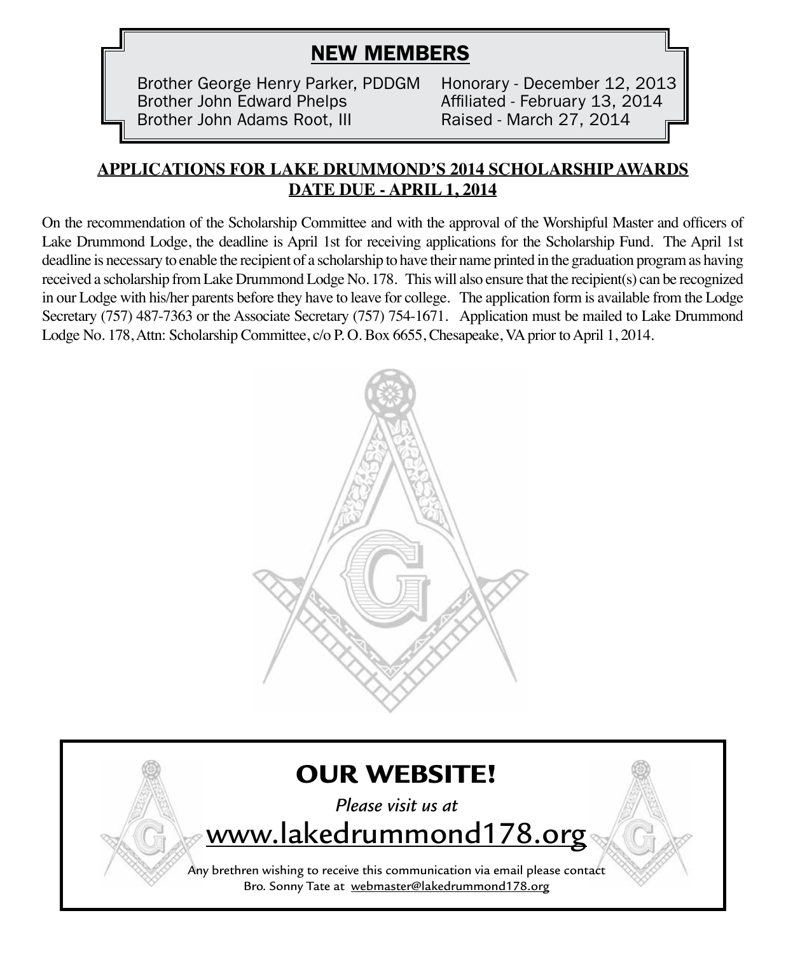# NEW MEMBERS

Brother George Henry Parker, PDDGM Honorary - December 12, 2013 Brother John Edward Phelps **Affiliated - February 13, 2014** Brother John Adams Root, III Raised - March 27, 2014

#### **APPLICATIONS FOR LAKE DRUMMOND'S 2014 SCHOLARSHIP AWARDS DATE DUE - APRIL 1, 2014**

On the recommendation of the Scholarship Committee and with the approval of the Worshipful Master and officers of Lake Drummond Lodge, the deadline is April 1st for receiving applications for the Scholarship Fund. The April 1st deadline is necessary to enable the recipient of a scholarship to have their name printed in the graduation program as having received a scholarship from Lake Drummond Lodge No. 178. This will also ensure that the recipient(s) can be recognized in our Lodge with his/her parents before they have to leave for college. The application form is available from the Lodge Secretary (757) 487-7363 or the Associate Secretary (757) 754-1671. Application must be mailed to Lake Drummond Lodge No. 178, Attn: Scholarship Committee, c/o P. O. Box 6655, Chesapeake, VA prior to April 1, 2014.



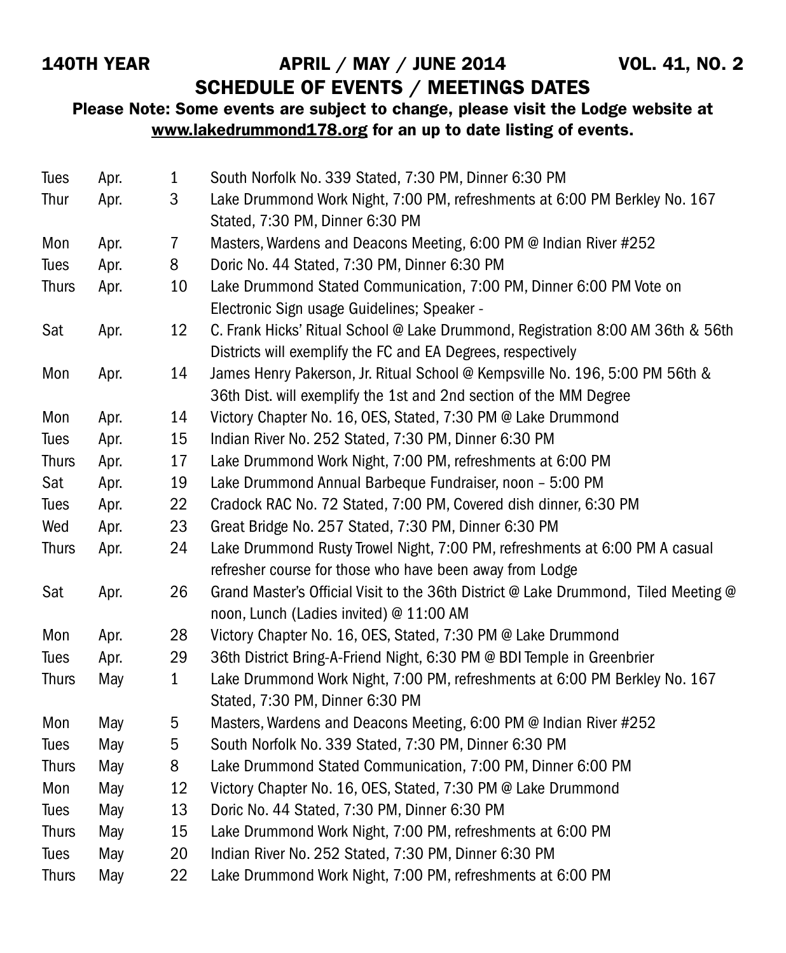## SCHEDULE OF EVENTS / MEETINGS DATES

#### Please Note: Some events are subject to change, please visit the Lodge website at www.lakedrummond178.org for an up to date listing of events.

| Tues         | Apr. | $\mathbf{1}$   | South Norfolk No. 339 Stated, 7:30 PM, Dinner 6:30 PM                                                                                              |
|--------------|------|----------------|----------------------------------------------------------------------------------------------------------------------------------------------------|
| Thur         | Apr. | 3              | Lake Drummond Work Night, 7:00 PM, refreshments at 6:00 PM Berkley No. 167<br>Stated, 7:30 PM, Dinner 6:30 PM                                      |
| Mon          | Apr. | $\overline{7}$ | Masters, Wardens and Deacons Meeting, 6:00 PM @ Indian River #252                                                                                  |
| Tues         | Apr. | 8              | Doric No. 44 Stated, 7:30 PM, Dinner 6:30 PM                                                                                                       |
| <b>Thurs</b> | Apr. | 10             | Lake Drummond Stated Communication, 7:00 PM, Dinner 6:00 PM Vote on<br>Electronic Sign usage Guidelines; Speaker -                                 |
| Sat          | Apr. | 12             | C. Frank Hicks' Ritual School @ Lake Drummond, Registration 8:00 AM 36th & 56th<br>Districts will exemplify the FC and EA Degrees, respectively    |
| Mon          | Apr. | 14             | James Henry Pakerson, Jr. Ritual School @ Kempsville No. 196, 5:00 PM 56th &<br>36th Dist. will exemplify the 1st and 2nd section of the MM Degree |
| Mon          | Apr. | 14             | Victory Chapter No. 16, OES, Stated, 7:30 PM @ Lake Drummond                                                                                       |
| Tues         | Apr. | 15             | Indian River No. 252 Stated, 7:30 PM, Dinner 6:30 PM                                                                                               |
| <b>Thurs</b> | Apr. | 17             | Lake Drummond Work Night, 7:00 PM, refreshments at 6:00 PM                                                                                         |
| Sat          | Apr. | 19             | Lake Drummond Annual Barbeque Fundraiser, noon - 5:00 PM                                                                                           |
| Tues         | Apr. | 22             | Cradock RAC No. 72 Stated, 7:00 PM, Covered dish dinner, 6:30 PM                                                                                   |
| Wed          | Apr. | 23             | Great Bridge No. 257 Stated, 7:30 PM, Dinner 6:30 PM                                                                                               |
| <b>Thurs</b> | Apr. | 24             | Lake Drummond Rusty Trowel Night, 7:00 PM, refreshments at 6:00 PM A casual                                                                        |
|              |      |                | refresher course for those who have been away from Lodge                                                                                           |
| Sat          | Apr. | 26             | Grand Master's Official Visit to the 36th District @ Lake Drummond, Tiled Meeting @<br>noon, Lunch (Ladies invited) @ 11:00 AM                     |
| Mon          | Apr. | 28             | Victory Chapter No. 16, OES, Stated, 7:30 PM @ Lake Drummond                                                                                       |
| Tues         | Apr. | 29             | 36th District Bring-A-Friend Night, 6:30 PM @ BDI Temple in Greenbrier                                                                             |
| <b>Thurs</b> | May  | 1              | Lake Drummond Work Night, 7:00 PM, refreshments at 6:00 PM Berkley No. 167<br>Stated, 7:30 PM, Dinner 6:30 PM                                      |
| Mon          | May  | 5              | Masters, Wardens and Deacons Meeting, 6:00 PM @ Indian River #252                                                                                  |
| Tues         | May  | 5              | South Norfolk No. 339 Stated, 7:30 PM, Dinner 6:30 PM                                                                                              |
| <b>Thurs</b> | May  | 8              | Lake Drummond Stated Communication, 7:00 PM, Dinner 6:00 PM                                                                                        |
| Mon          | May  | 12             | Victory Chapter No. 16, OES, Stated, 7:30 PM @ Lake Drummond                                                                                       |
| Tues         | May  | 13             | Doric No. 44 Stated, 7:30 PM, Dinner 6:30 PM                                                                                                       |
| <b>Thurs</b> | May  | 15             | Lake Drummond Work Night, 7:00 PM, refreshments at 6:00 PM                                                                                         |
| Tues         | May  | 20             | Indian River No. 252 Stated, 7:30 PM, Dinner 6:30 PM                                                                                               |
| <b>Thurs</b> | May  | 22             | Lake Drummond Work Night, 7:00 PM, refreshments at 6:00 PM                                                                                         |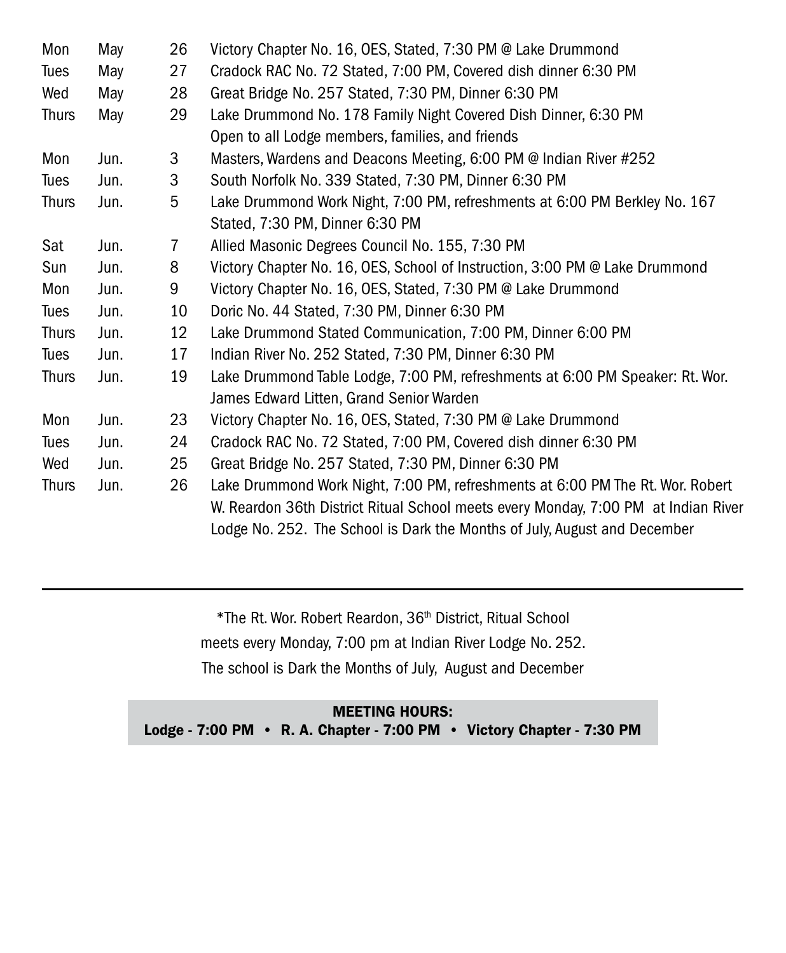| Mon          | May  | 26 | Victory Chapter No. 16, OES, Stated, 7:30 PM @ Lake Drummond                       |
|--------------|------|----|------------------------------------------------------------------------------------|
| Tues         | May  | 27 | Cradock RAC No. 72 Stated, 7:00 PM, Covered dish dinner 6:30 PM                    |
| Wed          | May  | 28 | Great Bridge No. 257 Stated, 7:30 PM, Dinner 6:30 PM                               |
| <b>Thurs</b> | May  | 29 | Lake Drummond No. 178 Family Night Covered Dish Dinner, 6:30 PM                    |
|              |      |    | Open to all Lodge members, families, and friends                                   |
| Mon          | Jun. | 3  | Masters, Wardens and Deacons Meeting, 6:00 PM @ Indian River #252                  |
| Tues         | Jun. | 3  | South Norfolk No. 339 Stated, 7:30 PM, Dinner 6:30 PM                              |
| <b>Thurs</b> | Jun. | 5  | Lake Drummond Work Night, 7:00 PM, refreshments at 6:00 PM Berkley No. 167         |
|              |      |    | Stated, 7:30 PM, Dinner 6:30 PM                                                    |
| Sat          | Jun. | 7  | Allied Masonic Degrees Council No. 155, 7:30 PM                                    |
| Sun          | Jun. | 8  | Victory Chapter No. 16, OES, School of Instruction, 3:00 PM @ Lake Drummond        |
| Mon          | Jun. | 9  | Victory Chapter No. 16, OES, Stated, 7:30 PM @ Lake Drummond                       |
| Tues         | Jun. | 10 | Doric No. 44 Stated, 7:30 PM, Dinner 6:30 PM                                       |
| <b>Thurs</b> | Jun. | 12 | Lake Drummond Stated Communication, 7:00 PM, Dinner 6:00 PM                        |
| Tues         | Jun. | 17 | Indian River No. 252 Stated, 7:30 PM, Dinner 6:30 PM                               |
| <b>Thurs</b> | Jun. | 19 | Lake Drummond Table Lodge, 7:00 PM, refreshments at 6:00 PM Speaker: Rt. Wor.      |
|              |      |    | James Edward Litten, Grand Senior Warden                                           |
| Mon          | Jun. | 23 | Victory Chapter No. 16, OES, Stated, 7:30 PM @ Lake Drummond                       |
| Tues         | Jun. | 24 | Cradock RAC No. 72 Stated, 7:00 PM, Covered dish dinner 6:30 PM                    |
| Wed          | Jun. | 25 | Great Bridge No. 257 Stated, 7:30 PM, Dinner 6:30 PM                               |
| <b>Thurs</b> | Jun. | 26 | Lake Drummond Work Night, 7:00 PM, refreshments at 6:00 PM The Rt. Wor. Robert     |
|              |      |    | W. Reardon 36th District Ritual School meets every Monday, 7:00 PM at Indian River |
|              |      |    | Lodge No. 252. The School is Dark the Months of July, August and December          |

\*The Rt. Wor. Robert Reardon, 36th District, Ritual School meets every Monday, 7:00 pm at Indian River Lodge No. 252. The school is Dark the Months of July, August and December

MEETING HOURS: Lodge - 7:00 PM • R. A. Chapter - 7:00 PM • Victory Chapter - 7:30 PM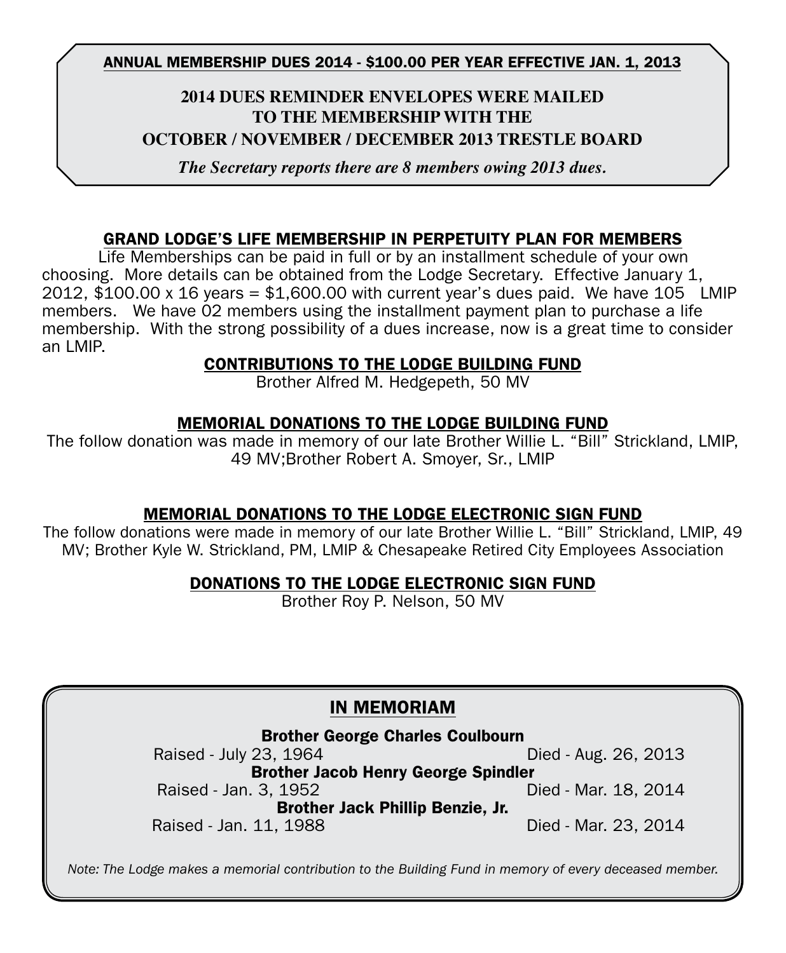#### ANNUAL MEMBERSHIP DUES 2014 - \$100.00 PER YEAR EFFECTIVE jan. 1, 2013

#### **2014 Dues Reminder Envelopes were mailed to the membership with the OCTOBER / NOVEMBER / DECEMBER 2013 TRESTLE BOARD**

*The Secretary reports there are 8 members owing 2013 dues.*

#### GRAND LODGE'S LIFE MEMBERSHIP IN PERPETUITY PLAN FOR MEMBERS

 Life Memberships can be paid in full or by an installment schedule of your own choosing. More details can be obtained from the Lodge Secretary. Effective January 1, 2012,  $$100.00 \times 16$  years =  $$1,600.00$  with current year's dues paid. We have 105 LMIP members. We have 02 members using the installment payment plan to purchase a life membership. With the strong possibility of a dues increase, now is a great time to consider an LMIP.

#### CONTRIBUTIONS TO THE LODGE BUILDING FUND

Brother Alfred M. Hedgepeth, 50 MV

#### MEMORIAL DONATIONS TO THE LODGE BUILDING FUND

The follow donation was made in memory of our late Brother Willie L. "Bill" Strickland, LMIP, 49 MV;Brother Robert A. Smoyer, Sr., LMIP

#### MEMORIAL DONATIONS TO THE LODGE ELECTRONIC SIGN FUND

The follow donations were made in memory of our late Brother Willie L. "Bill" Strickland, LMIP, 49 MV; Brother Kyle W. Strickland, PM, LMIP & Chesapeake Retired City Employees Association

#### DONATIONS TO THE LODGE ELECTRONIC SIGN FUND

Brother Roy P. Nelson, 50 MV

#### IN MEMORIAM

#### Brother George Charles Coulbourn

Raised - July 23, 1964 **Died - Aug. 26, 2013** Brother Jacob Henry George Spindler Raised - Jan. 3, 1952 **Died - Mar. 18, 2014** Brother Jack Phillip Benzie, Jr. Raised - Jan. 11, 1988 **Died - Mar. 23, 2014** 

*Note: The Lodge makes a memorial contribution to the Building Fund in memory of every deceased member.*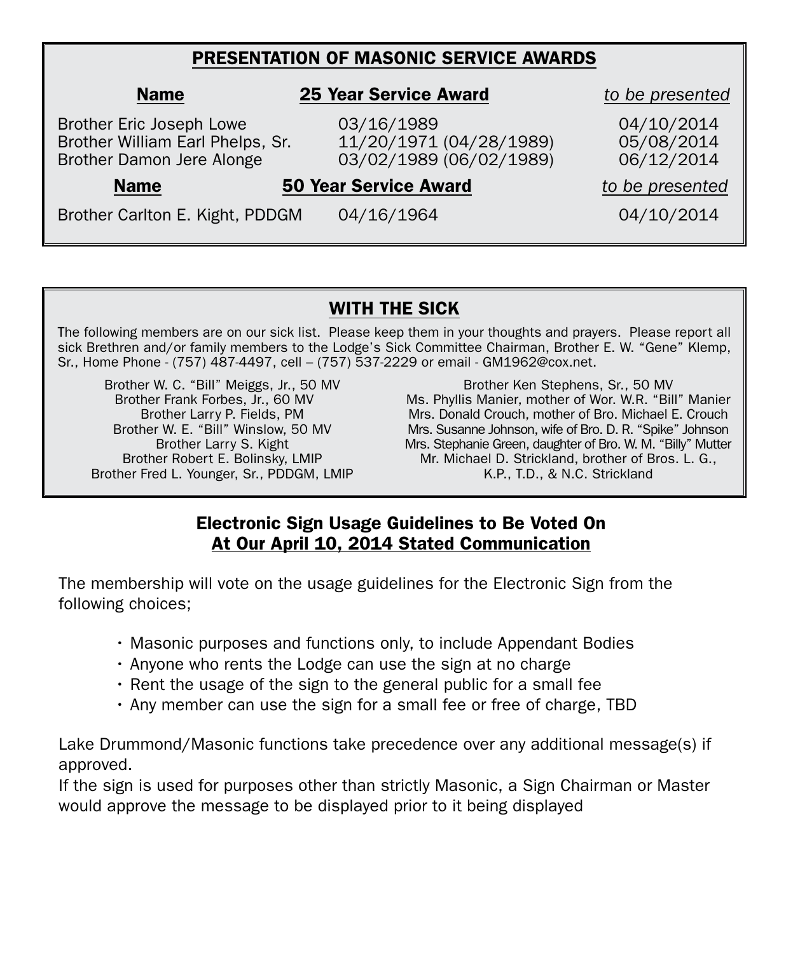### PRESENTATION OF MASONIC SERVICE AWARDS

| <b>Name</b>                                                                               | <b>25 Year Service Award</b>                                     | to be presented                        |  |
|-------------------------------------------------------------------------------------------|------------------------------------------------------------------|----------------------------------------|--|
| Brother Eric Joseph Lowe<br>Brother William Earl Phelps, Sr.<br>Brother Damon Jere Alonge | 03/16/1989<br>11/20/1971 (04/28/1989)<br>03/02/1989 (06/02/1989) | 04/10/2014<br>05/08/2014<br>06/12/2014 |  |
| <b>Name</b>                                                                               | <b>50 Year Service Award</b>                                     | to be presented                        |  |
| Brother Carlton E. Kight, PDDGM                                                           | 04/16/1964                                                       | 04/10/2014                             |  |

#### WITH THE SICK

The following members are on our sick list. Please keep them in your thoughts and prayers. Please report all sick Brethren and/or family members to the Lodge's Sick Committee Chairman, Brother E. W. "Gene" Klemp, Sr., Home Phone - (757) 487-4497, cell – (757) 537-2229 or email - GM1962@cox.net.

Brother W. C. "Bill" Meiggs, Jr., 50 MV Brother Frank Forbes, Jr., 60 MV Brother Larry P. Fields, PM Brother W. E. "Bill" Winslow, 50 MV Brother Larry S. Kight Brother Robert E. Bolinsky, LMIP Brother Fred L. Younger, Sr., PDDGM, LMIP

Brother Ken Stephens, Sr., 50 MV Ms. Phyllis Manier, mother of Wor. W.R. "Bill" Manier Mrs. Donald Crouch, mother of Bro. Michael E. Crouch Mrs. Susanne Johnson, wife of Bro. D. R. "Spike" Johnson Mrs. Stephanie Green, daughter of Bro. W. M. "Billy" Mutter Mr. Michael D. Strickland, brother of Bros. L. G., K.P., T.D., & N.C. Strickland

#### Electronic Sign Usage Guidelines to Be Voted On At Our April 10, 2014 Stated Communication

The membership will vote on the usage guidelines for the Electronic Sign from the following choices;

- Masonic purposes and functions only, to include Appendant Bodies
- Anyone who rents the Lodge can use the sign at no charge
- Rent the usage of the sign to the general public for a small fee
- Any member can use the sign for a small fee or free of charge, TBD

Lake Drummond/Masonic functions take precedence over any additional message(s) if approved.

If the sign is used for purposes other than strictly Masonic, a Sign Chairman or Master would approve the message to be displayed prior to it being displayed